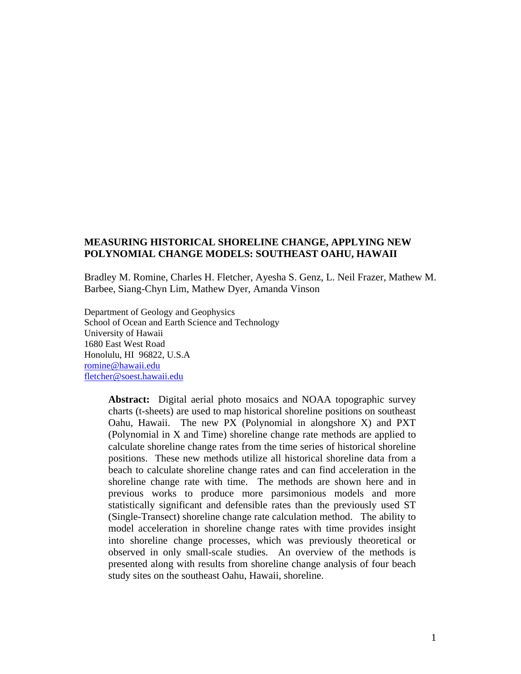### **MEASURING HISTORICAL SHORELINE CHANGE, APPLYING NEW POLYNOMIAL CHANGE MODELS: SOUTHEAST OAHU, HAWAII**

Bradley M. Romine, Charles H. Fletcher, Ayesha S. Genz, L. Neil Frazer, Mathew M. Barbee, Siang-Chyn Lim, Mathew Dyer, Amanda Vinson

Department of Geology and Geophysics School of Ocean and Earth Science and Technology University of Hawaii 1680 East West Road Honolulu, HI 96822, U.S.A [romine@hawaii.edu](mailto:romine@hawaii.edu) [fletcher@soest.hawaii.edu](mailto:fletcher@soest.hawaii.edu)

> **Abstract:** Digital aerial photo mosaics and NOAA topographic survey charts (t-sheets) are used to map historical shoreline positions on southeast Oahu, Hawaii. The new PX (Polynomial in alongshore X) and PXT (Polynomial in X and Time) shoreline change rate methods are applied to calculate shoreline change rates from the time series of historical shoreline positions. These new methods utilize all historical shoreline data from a beach to calculate shoreline change rates and can find acceleration in the shoreline change rate with time. The methods are shown here and in previous works to produce more parsimonious models and more statistically significant and defensible rates than the previously used ST (Single-Transect) shoreline change rate calculation method. The ability to model acceleration in shoreline change rates with time provides insight into shoreline change processes, which was previously theoretical or observed in only small-scale studies. An overview of the methods is presented along with results from shoreline change analysis of four beach study sites on the southeast Oahu, Hawaii, shoreline.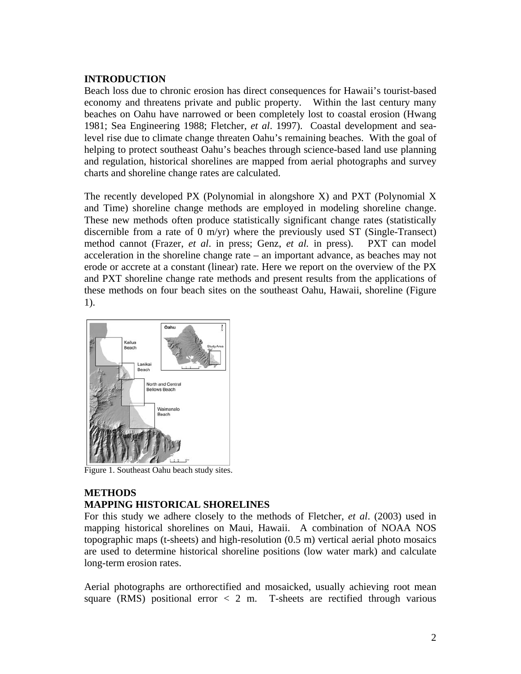## **INTRODUCTION**

Beach loss due to chronic erosion has direct consequences for Hawaii's tourist-based economy and threatens private and public property. Within the last century many beaches on Oahu have narrowed or been completely lost to coastal erosion (Hwang 1981; Sea Engineering 1988; Fletcher, *et al*. 1997). Coastal development and sealevel rise due to climate change threaten Oahu's remaining beaches. With the goal of helping to protect southeast Oahu's beaches through science-based land use planning and regulation, historical shorelines are mapped from aerial photographs and survey charts and shoreline change rates are calculated.

The recently developed PX (Polynomial in alongshore X) and PXT (Polynomial X and Time) shoreline change methods are employed in modeling shoreline change. These new methods often produce statistically significant change rates (statistically discernible from a rate of 0 m/yr) where the previously used ST (Single-Transect) method cannot (Frazer, *et al*. in press; Genz, *et al.* in press). PXT can model acceleration in the shoreline change rate – an important advance, as beaches may not erode or accrete at a constant (linear) rate. Here we report on the overview of the PX and PXT shoreline change rate methods and present results from the applications of these methods on four beach sites on the southeast Oahu, Hawaii, shoreline (Figure 1).



Figure 1. Southeast Oahu beach study sites.

## **METHODS MAPPING HISTORICAL SHORELINES**

For this study we adhere closely to the methods of Fletcher, *et al*. (2003) used in mapping historical shorelines on Maui, Hawaii. A combination of NOAA NOS topographic maps (t-sheets) and high-resolution (0.5 m) vertical aerial photo mosaics are used to determine historical shoreline positions (low water mark) and calculate long-term erosion rates.

Aerial photographs are orthorectified and mosaicked, usually achieving root mean square (RMS) positional error  $\langle 2 \text{ m.} \rangle$  T-sheets are rectified through various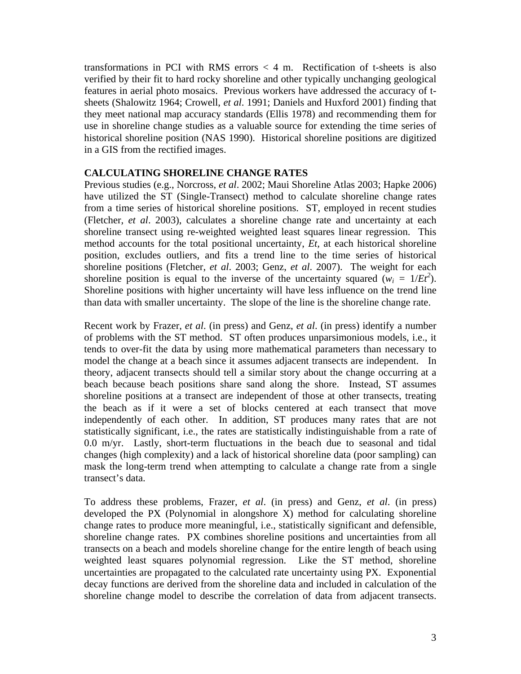transformations in PCI with RMS errors < 4 m. Rectification of t-sheets is also verified by their fit to hard rocky shoreline and other typically unchanging geological features in aerial photo mosaics. Previous workers have addressed the accuracy of tsheets (Shalowitz 1964; Crowell, *et al*. 1991; Daniels and Huxford 2001) finding that they meet national map accuracy standards (Ellis 1978) and recommending them for use in shoreline change studies as a valuable source for extending the time series of historical shoreline position (NAS 1990). Historical shoreline positions are digitized in a GIS from the rectified images.

## **CALCULATING SHORELINE CHANGE RATES**

Previous studies (e.g., Norcross, *et al*. 2002; Maui Shoreline Atlas 2003; Hapke 2006) have utilized the ST (Single-Transect) method to calculate shoreline change rates from a time series of historical shoreline positions. ST, employed in recent studies (Fletcher, *et al*. 2003), calculates a shoreline change rate and uncertainty at each shoreline transect using re-weighted weighted least squares linear regression. This method accounts for the total positional uncertainty, *Et,* at each historical shoreline position, excludes outliers, and fits a trend line to the time series of historical shoreline positions (Fletcher, *et al*. 2003; Genz, *et al*. 2007). The weight for each shoreline position is equal to the inverse of the uncertainty squared  $(w_i = 1/Et^2)$ . Shoreline positions with higher uncertainty will have less influence on the trend line than data with smaller uncertainty. The slope of the line is the shoreline change rate.

Recent work by Frazer, *et al*. (in press) and Genz, *et al*. (in press) identify a number of problems with the ST method. ST often produces unparsimonious models, i.e., it tends to over-fit the data by using more mathematical parameters than necessary to model the change at a beach since it assumes adjacent transects are independent. In theory, adjacent transects should tell a similar story about the change occurring at a beach because beach positions share sand along the shore. Instead, ST assumes shoreline positions at a transect are independent of those at other transects, treating the beach as if it were a set of blocks centered at each transect that move independently of each other. In addition, ST produces many rates that are not statistically significant, i.e., the rates are statistically indistinguishable from a rate of 0.0 m/yr. Lastly, short-term fluctuations in the beach due to seasonal and tidal changes (high complexity) and a lack of historical shoreline data (poor sampling) can mask the long-term trend when attempting to calculate a change rate from a single transect's data.

To address these problems, Frazer, *et al*. (in press) and Genz, *et al*. (in press) developed the PX (Polynomial in alongshore X) method for calculating shoreline change rates to produce more meaningful, i.e., statistically significant and defensible, shoreline change rates. PX combines shoreline positions and uncertainties from all transects on a beach and models shoreline change for the entire length of beach using weighted least squares polynomial regression. Like the ST method, shoreline uncertainties are propagated to the calculated rate uncertainty using PX. Exponential decay functions are derived from the shoreline data and included in calculation of the shoreline change model to describe the correlation of data from adjacent transects.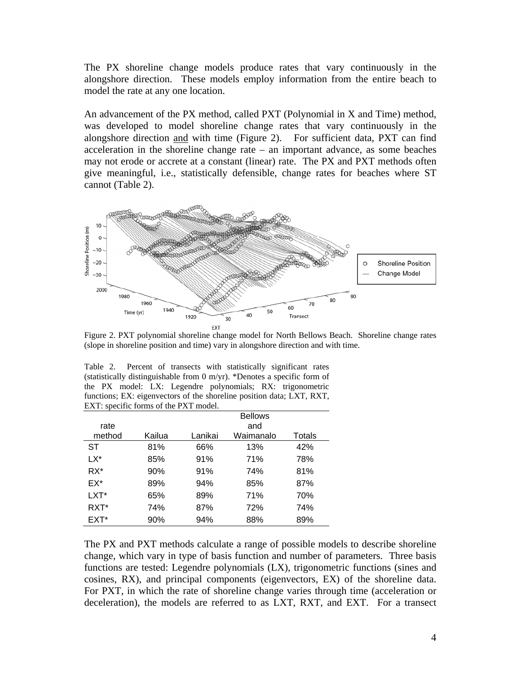The PX shoreline change models produce rates that vary continuously in the alongshore direction. These models employ information from the entire beach to model the rate at any one location.

An advancement of the PX method, called PXT (Polynomial in X and Time) method, was developed to model shoreline change rates that vary continuously in the alongshore direction and with time (Figure 2). For sufficient data, PXT can find acceleration in the shoreline change rate – an important advance, as some beaches may not erode or accrete at a constant (linear) rate. The PX and PXT methods often give meaningful, i.e., statistically defensible, change rates for beaches where ST cannot (Table 2).



Figure 2. PXT polynomial shoreline change model for North Bellows Beach. Shoreline change rates (slope in shoreline position and time) vary in alongshore direction and with time.

|                                       |  |  |  | Table 2. Percent of transects with statistically significant rates       |  |                 |  |  |  |
|---------------------------------------|--|--|--|--------------------------------------------------------------------------|--|-----------------|--|--|--|
|                                       |  |  |  | (statistically distinguishable from 0 m/yr). *Denotes a specific form of |  |                 |  |  |  |
|                                       |  |  |  | the PX model: LX: Legendre polynomials; RX: trigonometric                |  |                 |  |  |  |
|                                       |  |  |  | functions; EX: eigenvectors of the shoreline position data; LXT, RXT,    |  |                 |  |  |  |
| EXT: specific forms of the PXT model. |  |  |  |                                                                          |  |                 |  |  |  |
|                                       |  |  |  |                                                                          |  | <b>Dellette</b> |  |  |  |

|        |        |         | <b>Bellows</b> |        |
|--------|--------|---------|----------------|--------|
| rate   |        |         | and            |        |
| method | Kailua | Lanikai | Waimanalo      | Totals |
| ST     | 81%    | 66%     | 13%            | 42%    |
| l X*   | 85%    | 91%     | 71%            | 78%    |
| RX*    | 90%    | 91%     | 74%            | 81%    |
| EX*    | 89%    | 94%     | 85%            | 87%    |
| LXT*   | 65%    | 89%     | 71%            | 70%    |
| RXT*   | 74%    | 87%     | 72%            | 74%    |
| EXT*   | 90%    | 94%     | 88%            | 89%    |

The PX and PXT methods calculate a range of possible models to describe shoreline change, which vary in type of basis function and number of parameters. Three basis functions are tested: Legendre polynomials (LX), trigonometric functions (sines and cosines, RX), and principal components (eigenvectors, EX) of the shoreline data. For PXT, in which the rate of shoreline change varies through time (acceleration or deceleration), the models are referred to as LXT, RXT, and EXT. For a transect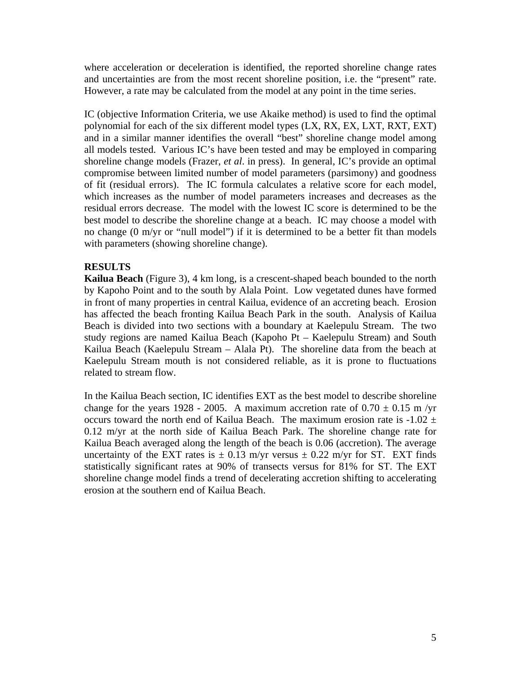where acceleration or deceleration is identified, the reported shoreline change rates and uncertainties are from the most recent shoreline position, i.e. the "present" rate. However, a rate may be calculated from the model at any point in the time series.

IC (objective Information Criteria, we use Akaike method) is used to find the optimal polynomial for each of the six different model types (LX, RX, EX, LXT, RXT, EXT) and in a similar manner identifies the overall "best" shoreline change model among all models tested. Various IC's have been tested and may be employed in comparing shoreline change models (Frazer, *et al*. in press). In general, IC's provide an optimal compromise between limited number of model parameters (parsimony) and goodness of fit (residual errors). The IC formula calculates a relative score for each model, which increases as the number of model parameters increases and decreases as the residual errors decrease. The model with the lowest IC score is determined to be the best model to describe the shoreline change at a beach. IC may choose a model with no change (0 m/yr or "null model") if it is determined to be a better fit than models with parameters (showing shoreline change).

### **RESULTS**

**Kailua Beach** (Figure 3), 4 km long, is a crescent-shaped beach bounded to the north by Kapoho Point and to the south by Alala Point. Low vegetated dunes have formed in front of many properties in central Kailua, evidence of an accreting beach. Erosion has affected the beach fronting Kailua Beach Park in the south. Analysis of Kailua Beach is divided into two sections with a boundary at Kaelepulu Stream. The two study regions are named Kailua Beach (Kapoho Pt – Kaelepulu Stream) and South Kailua Beach (Kaelepulu Stream – Alala Pt). The shoreline data from the beach at Kaelepulu Stream mouth is not considered reliable, as it is prone to fluctuations related to stream flow.

In the Kailua Beach section, IC identifies EXT as the best model to describe shoreline change for the years 1928 - 2005. A maximum accretion rate of  $0.70 \pm 0.15$  m/yr occurs toward the north end of Kailua Beach. The maximum erosion rate is  $-1.02 \pm 1.02$ 0.12 m/yr at the north side of Kailua Beach Park. The shoreline change rate for Kailua Beach averaged along the length of the beach is 0.06 (accretion). The average uncertainty of the EXT rates is  $\pm$  0.13 m/yr versus  $\pm$  0.22 m/yr for ST. EXT finds statistically significant rates at 90% of transects versus for 81% for ST. The EXT shoreline change model finds a trend of decelerating accretion shifting to accelerating erosion at the southern end of Kailua Beach.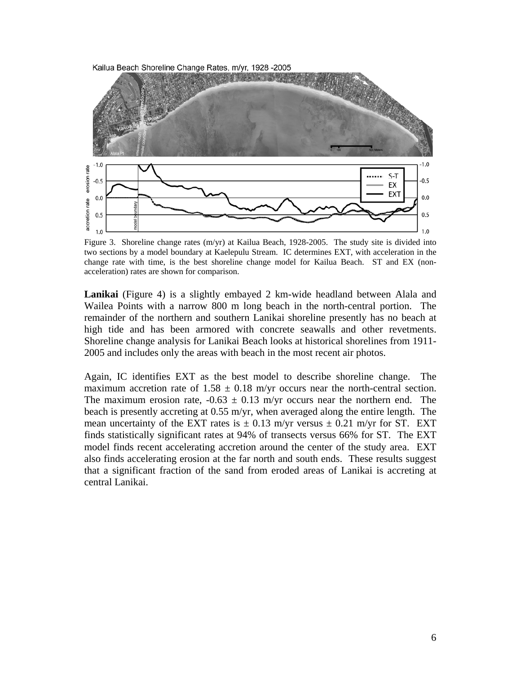

Figure 3. Shoreline change rates (m/yr) at Kailua Beach, 1928-2005. The study site is divided into two sections by a model boundary at Kaelepulu Stream. IC determines EXT, with acceleration in the change rate with time, is the best shoreline change model for Kailua Beach. ST and EX (nonacceleration) rates are shown for comparison.

**Lanikai** (Figure 4) is a slightly embayed 2 km-wide headland between Alala and Wailea Points with a narrow 800 m long beach in the north-central portion. The remainder of the northern and southern Lanikai shoreline presently has no beach at high tide and has been armored with concrete seawalls and other revetments. Shoreline change analysis for Lanikai Beach looks at historical shorelines from 1911- 2005 and includes only the areas with beach in the most recent air photos.

Again, IC identifies EXT as the best model to describe shoreline change. The maximum accretion rate of  $1.58 \pm 0.18$  m/yr occurs near the north-central section. The maximum erosion rate,  $-0.63 \pm 0.13$  m/yr occurs near the northern end. The beach is presently accreting at 0.55 m/yr, when averaged along the entire length. The mean uncertainty of the EXT rates is  $\pm$  0.13 m/yr versus  $\pm$  0.21 m/yr for ST. EXT finds statistically significant rates at 94% of transects versus 66% for ST. The EXT model finds recent accelerating accretion around the center of the study area. EXT also finds accelerating erosion at the far north and south ends. These results suggest that a significant fraction of the sand from eroded areas of Lanikai is accreting at central Lanikai.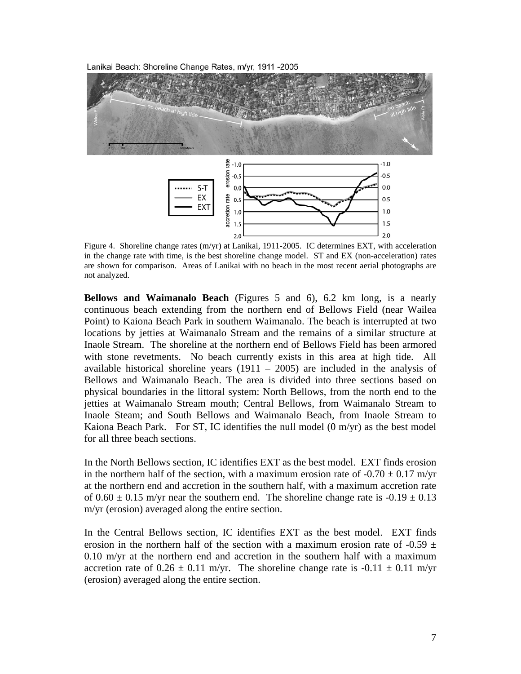Lanikai Beach: Shoreline Change Rates, m/yr, 1911 -2005



Figure 4. Shoreline change rates (m/yr) at Lanikai, 1911-2005. IC determines EXT, with acceleration in the change rate with time, is the best shoreline change model. ST and EX (non-acceleration) rates are shown for comparison. Areas of Lanikai with no beach in the most recent aerial photographs are not analyzed.

**Bellows and Waimanalo Beach** (Figures 5 and 6), 6.2 km long, is a nearly continuous beach extending from the northern end of Bellows Field (near Wailea Point) to Kaiona Beach Park in southern Waimanalo. The beach is interrupted at two locations by jetties at Waimanalo Stream and the remains of a similar structure at Inaole Stream. The shoreline at the northern end of Bellows Field has been armored with stone revetments. No beach currently exists in this area at high tide. All available historical shoreline years  $(1911 - 2005)$  are included in the analysis of Bellows and Waimanalo Beach. The area is divided into three sections based on physical boundaries in the littoral system: North Bellows, from the north end to the jetties at Waimanalo Stream mouth; Central Bellows, from Waimanalo Stream to Inaole Steam; and South Bellows and Waimanalo Beach, from Inaole Stream to Kaiona Beach Park. For ST, IC identifies the null model  $(0 \text{ m/yr})$  as the best model for all three beach sections.

In the North Bellows section, IC identifies EXT as the best model. EXT finds erosion in the northern half of the section, with a maximum erosion rate of  $-0.70 \pm 0.17$  m/vr at the northern end and accretion in the southern half, with a maximum accretion rate of  $0.60 \pm 0.15$  m/yr near the southern end. The shoreline change rate is  $-0.19 \pm 0.13$ m/yr (erosion) averaged along the entire section.

In the Central Bellows section, IC identifies EXT as the best model. EXT finds erosion in the northern half of the section with a maximum erosion rate of -0.59  $\pm$ 0.10 m/yr at the northern end and accretion in the southern half with a maximum accretion rate of  $0.26 \pm 0.11$  m/yr. The shoreline change rate is  $-0.11 \pm 0.11$  m/yr (erosion) averaged along the entire section.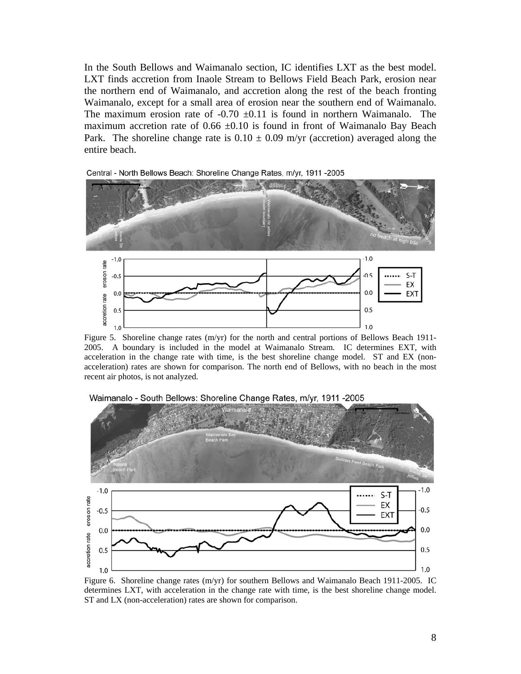In the South Bellows and Waimanalo section, IC identifies LXT as the best model. LXT finds accretion from Inaole Stream to Bellows Field Beach Park, erosion near the northern end of Waimanalo, and accretion along the rest of the beach fronting Waimanalo, except for a small area of erosion near the southern end of Waimanalo. The maximum erosion rate of  $-0.70 \pm 0.11$  is found in northern Waimanalo. The maximum accretion rate of  $0.66 \pm 0.10$  is found in front of Waimanalo Bay Beach Park. The shoreline change rate is  $0.10 \pm 0.09$  m/yr (accretion) averaged along the entire beach.

Central - North Bellows Beach: Shoreline Change Rates, m/yr, 1911 -2005



Figure 5. Shoreline change rates (m/yr) for the north and central portions of Bellows Beach 1911- 2005. A boundary is included in the model at Waimanalo Stream. IC determines EXT, with acceleration in the change rate with time, is the best shoreline change model. ST and EX (nonacceleration) rates are shown for comparison. The north end of Bellows, with no beach in the most recent air photos, is not analyzed.



Waimanalo - South Bellows: Shoreline Change Rates, m/yr, 1911 -2005

Figure 6. Shoreline change rates (m/yr) for southern Bellows and Waimanalo Beach 1911-2005. IC determines LXT, with acceleration in the change rate with time, is the best shoreline change model. ST and LX (non-acceleration) rates are shown for comparison.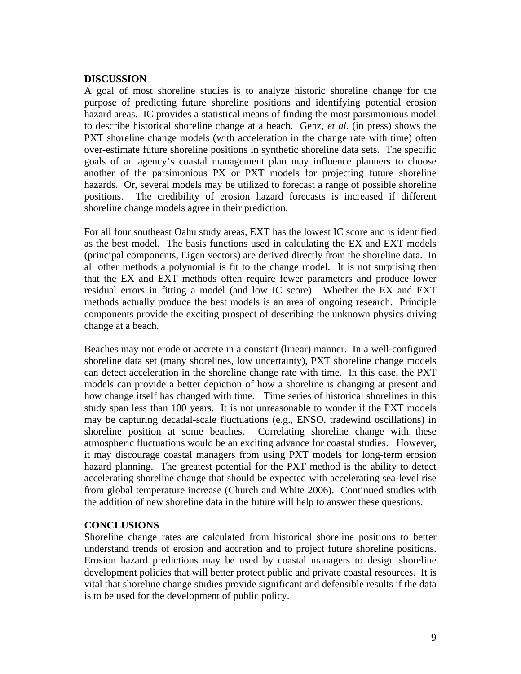#### **DISCUSSION**

A goal of most shoreline studies is to analyze historic shoreline change for the purpose of predicting future shoreline positions and identifying potential erosion hazard areas. IC provides a statistical means of finding the most parsimonious model to describe historical shoreline change at a beach. Genz, *et al*. (in press) shows the PXT shoreline change models (with acceleration in the change rate with time) often over-estimate future shoreline positions in synthetic shoreline data sets. The specific goals of an agency's coastal management plan may influence planners to choose another of the parsimonious PX or PXT models for projecting future shoreline hazards. Or, several models may be utilized to forecast a range of possible shoreline positions. The credibility of erosion hazard forecasts is increased if different shoreline change models agree in their prediction.

For all four southeast Oahu study areas, EXT has the lowest IC score and is identified as the best model. The basis functions used in calculating the EX and EXT models (principal components, Eigen vectors) are derived directly from the shoreline data. In all other methods a polynomial is fit to the change model. It is not surprising then that the EX and EXT methods often require fewer parameters and produce lower residual errors in fitting a model (and low IC score). Whether the EX and EXT methods actually produce the best models is an area of ongoing research. Principle components provide the exciting prospect of describing the unknown physics driving change at a beach.

Beaches may not erode or accrete in a constant (linear) manner. In a well-configured shoreline data set (many shorelines, low uncertainty), PXT shoreline change models can detect acceleration in the shoreline change rate with time. In this case, the PXT models can provide a better depiction of how a shoreline is changing at present and how change itself has changed with time. Time series of historical shorelines in this study span less than 100 years. It is not unreasonable to wonder if the PXT models may be capturing decadal-scale fluctuations (e.g., ENSO, tradewind oscillations) in shoreline position at some beaches. Correlating shoreline change with these atmospheric fluctuations would be an exciting advance for coastal studies. However, it may discourage coastal managers from using PXT models for long-term erosion hazard planning. The greatest potential for the PXT method is the ability to detect accelerating shoreline change that should be expected with accelerating sea-level rise from global temperature increase (Church and White 2006). Continued studies with the addition of new shoreline data in the future will help to answer these questions.

## **CONCLUSIONS**

Shoreline change rates are calculated from historical shoreline positions to better understand trends of erosion and accretion and to project future shoreline positions. Erosion hazard predictions may be used by coastal managers to design shoreline development policies that will better protect public and private coastal resources. It is vital that shoreline change studies provide significant and defensible results if the data is to be used for the development of public policy.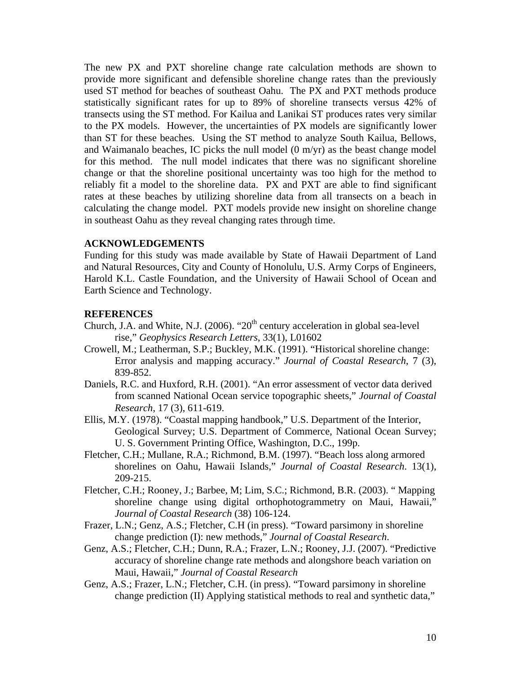The new PX and PXT shoreline change rate calculation methods are shown to provide more significant and defensible shoreline change rates than the previously used ST method for beaches of southeast Oahu. The PX and PXT methods produce statistically significant rates for up to 89% of shoreline transects versus 42% of transects using the ST method. For Kailua and Lanikai ST produces rates very similar to the PX models. However, the uncertainties of PX models are significantly lower than ST for these beaches. Using the ST method to analyze South Kailua, Bellows, and Waimanalo beaches, IC picks the null model (0 m/yr) as the beast change model for this method. The null model indicates that there was no significant shoreline change or that the shoreline positional uncertainty was too high for the method to reliably fit a model to the shoreline data. PX and PXT are able to find significant rates at these beaches by utilizing shoreline data from all transects on a beach in calculating the change model. PXT models provide new insight on shoreline change in southeast Oahu as they reveal changing rates through time.

#### **ACKNOWLEDGEMENTS**

Funding for this study was made available by State of Hawaii Department of Land and Natural Resources, City and County of Honolulu, U.S. Army Corps of Engineers, Harold K.L. Castle Foundation, and the University of Hawaii School of Ocean and Earth Science and Technology.

# **REFERENCES**

- Church, J.A. and White, N.J. (2006). " $20<sup>th</sup>$  century acceleration in global sea-level rise," *Geophysics Research Letters*, 33(1), L01602
- Crowell, M.; Leatherman, S.P.; Buckley, M.K. (1991). "Historical shoreline change: Error analysis and mapping accuracy." *Journal of Coastal Research*, 7 (3), 839-852.
- Daniels, R.C. and Huxford, R.H. (2001). "An error assessment of vector data derived from scanned National Ocean service topographic sheets," *Journal of Coastal Research*, 17 (3), 611-619.
- Ellis, M.Y. (1978). "Coastal mapping handbook," U.S. Department of the Interior, Geological Survey; U.S. Department of Commerce, National Ocean Survey; U. S. Government Printing Office, Washington, D.C., 199p.
- Fletcher, C.H.; Mullane, R.A.; Richmond, B.M. (1997). "Beach loss along armored shorelines on Oahu, Hawaii Islands," *Journal of Coastal Research*. 13(1), 209-215.
- Fletcher, C.H.; Rooney, J.; Barbee, M; Lim, S.C.; Richmond, B.R. (2003). " Mapping shoreline change using digital orthophotogrammetry on Maui, Hawaii," *Journal of Coastal Research* (38) 106-124.
- Frazer, L.N.; Genz, A.S.; Fletcher, C.H (in press). "Toward parsimony in shoreline change prediction (I): new methods," *Journal of Coastal Research*.
- Genz, A.S.; Fletcher, C.H.; Dunn, R.A.; Frazer, L.N.; Rooney, J.J. (2007). "Predictive accuracy of shoreline change rate methods and alongshore beach variation on Maui, Hawaii," *Journal of Coastal Research*
- Genz, A.S.; Frazer, L.N.; Fletcher, C.H. (in press). "Toward parsimony in shoreline change prediction (II) Applying statistical methods to real and synthetic data,"